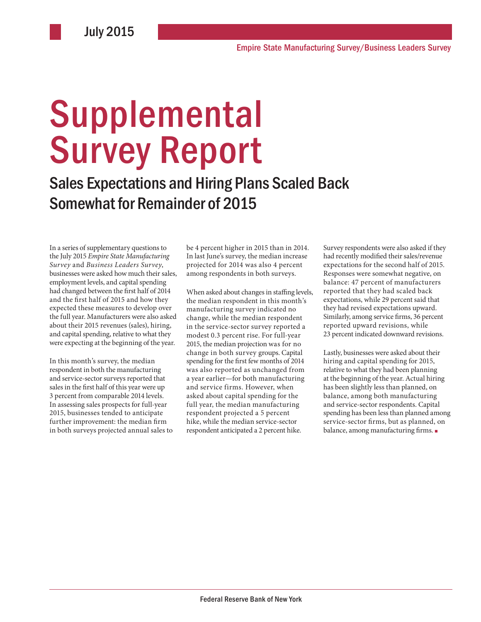# **Supplemental** Survey Report

Sales Expectations and Hiring Plans Scaled Back Somewhat for Remainder of 2015

In a series of supplementary questions to the July 2015 *Empire State Manufacturing Survey* and *Business Leaders Survey*, businesses were asked how much their sales, employment levels, and capital spending had changed between the first half of 2014 and the first half of 2015 and how they expected these measures to develop over the full year. Manufacturers were also asked about their 2015 revenues (sales), hiring, and capital spending, relative to what they were expecting at the beginning of the year.

In this month's survey, the median respondent in both the manufacturing and service-sector surveys reported that sales in the first half of this year were up 3 percent from comparable 2014 levels. In assessing sales prospects for full-year 2015, businesses tended to anticipate further improvement: the median firm in both surveys projected annual sales to be 4 percent higher in 2015 than in 2014. In last June's survey, the median increase projected for 2014 was also 4 percent among respondents in both surveys.

When asked about changes in staffing levels, the median respondent in this month's manufacturing survey indicated no change, while the median respondent in the service-sector survey reported a modest 0.3 percent rise. For full-year 2015, the median projection was for no change in both survey groups. Capital spending for the first few months of 2014 was also reported as unchanged from a year earlier—for both manufacturing and service firms. However, when asked about capital spending for the full year, the median manufacturing respondent projected a 5 percent hike, while the median service-sector respondent anticipated a 2 percent hike.

Survey respondents were also asked if they had recently modified their sales/revenue expectations for the second half of 2015. Responses were somewhat negative, on balance: 47 percent of manufacturers reported that they had scaled back expectations, while 29 percent said that they had revised expectations upward. Similarly, among service firms, 36 percent reported upward revisions, while 23 percent indicated downward revisions.

Lastly, businesses were asked about their hiring and capital spending for 2015, relative to what they had been planning at the beginning of the year. Actual hiring has been slightly less than planned, on balance, among both manufacturing and service-sector respondents. Capital spending has been less than planned among service-sector firms, but as planned, on balance, among manufacturing firms. ■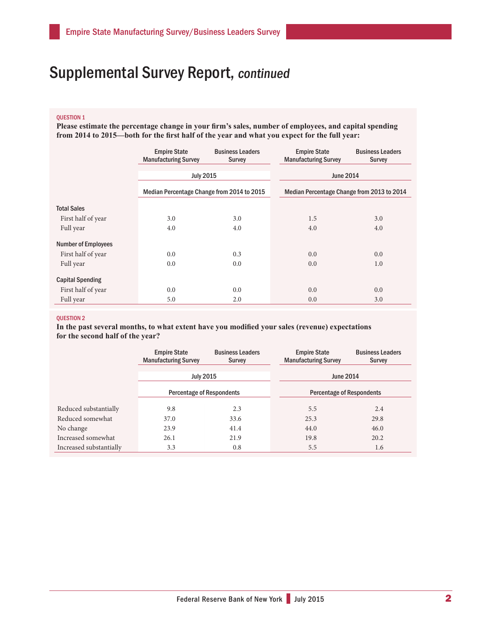### QUESTION 1

**Please estimate the percentage change in your firm's sales, number of employees, and capital spending from 2014 to 2015—both for the first half of the year and what you expect for the full year:**

|                            | <b>Empire State</b><br><b>Manufacturing Survey</b> | <b>Business Leaders</b><br><b>Survey</b> | <b>Empire State</b><br><b>Manufacturing Survey</b> | <b>Business Leaders</b><br><b>Survey</b> |
|----------------------------|----------------------------------------------------|------------------------------------------|----------------------------------------------------|------------------------------------------|
|                            | <b>July 2015</b>                                   |                                          | <b>June 2014</b>                                   |                                          |
|                            | Median Percentage Change from 2014 to 2015         |                                          | Median Percentage Change from 2013 to 2014         |                                          |
| <b>Total Sales</b>         |                                                    |                                          |                                                    |                                          |
| First half of year         | 3.0                                                | 3.0                                      | 1.5                                                | 3.0                                      |
| Full year                  | 4.0                                                | 4.0                                      | 4.0                                                | 4.0                                      |
| <b>Number of Employees</b> |                                                    |                                          |                                                    |                                          |
| First half of year         | 0.0                                                | 0.3                                      | 0.0                                                | 0.0                                      |
| Full year                  | 0.0                                                | 0.0                                      | 0.0                                                | 1.0                                      |
| <b>Capital Spending</b>    |                                                    |                                          |                                                    |                                          |
| First half of year         | 0.0                                                | 0.0                                      | 0.0                                                | 0.0                                      |
| Full year                  | 5.0                                                | 2.0                                      | 0.0                                                | 3.0                                      |

#### QUESTION 2

**In the past several months, to what extent have you modified your sales (revenue) expectations for the second half of the year?**

|                         | <b>Empire State</b><br><b>Manufacturing Survey</b> | <b>Business Leaders</b><br><b>Survey</b> | <b>Empire State</b><br><b>Manufacturing Survey</b> | <b>Business Leaders</b><br>Survey |
|-------------------------|----------------------------------------------------|------------------------------------------|----------------------------------------------------|-----------------------------------|
|                         | <b>July 2015</b>                                   |                                          | June 2014                                          |                                   |
|                         | <b>Percentage of Respondents</b>                   |                                          | <b>Percentage of Respondents</b>                   |                                   |
| Reduced substantially   | 9.8                                                | 2.3                                      | 5.5                                                | 2.4                               |
| Reduced somewhat        | 37.0                                               | 33.6                                     | 25.3                                               | 29.8                              |
| No change               | 23.9                                               | 41.4                                     | 44.0                                               | 46.0                              |
| Increased somewhat      | 26.1                                               | 21.9                                     | 19.8                                               | 20.2                              |
| Increased substantially | 3.3                                                | 0.8                                      | 5.5                                                | 1.6                               |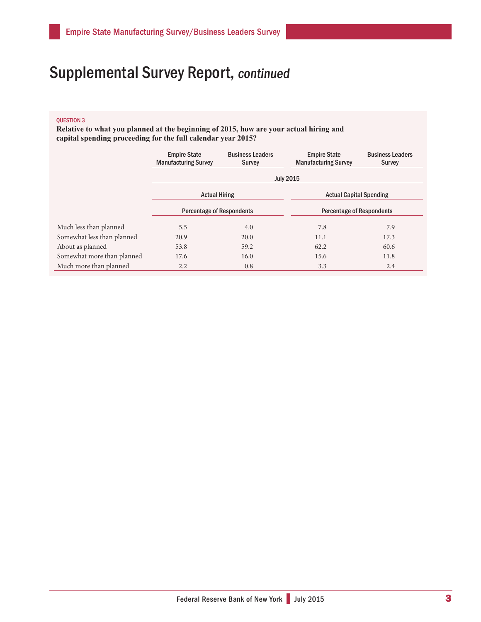#### QUESTION 3

**Relative to what you planned at the beginning of 2015, how are your actual hiring and capital spending proceeding for the full calendar year 2015?**

|                            | <b>Empire State</b><br><b>Manufacturing Survey</b> | <b>Business Leaders</b><br>Survey | <b>Empire State</b><br><b>Manufacturing Survey</b> | <b>Business Leaders</b><br><b>Survey</b> |  |  |
|----------------------------|----------------------------------------------------|-----------------------------------|----------------------------------------------------|------------------------------------------|--|--|
|                            | <b>July 2015</b>                                   |                                   |                                                    |                                          |  |  |
|                            | <b>Actual Hiring</b>                               |                                   | <b>Actual Capital Spending</b>                     |                                          |  |  |
|                            | <b>Percentage of Respondents</b>                   |                                   | <b>Percentage of Respondents</b>                   |                                          |  |  |
| Much less than planned     | 5.5                                                | 4.0                               | 7.8                                                | 7.9                                      |  |  |
| Somewhat less than planned | 20.9                                               | 20.0                              | 11.1                                               | 17.3                                     |  |  |
| About as planned           | 53.8                                               | 59.2                              | 62.2                                               | 60.6                                     |  |  |
| Somewhat more than planned | 17.6                                               | 16.0                              | 15.6                                               | 11.8                                     |  |  |
| Much more than planned     | 2.2                                                | 0.8                               | 3.3                                                | 2.4                                      |  |  |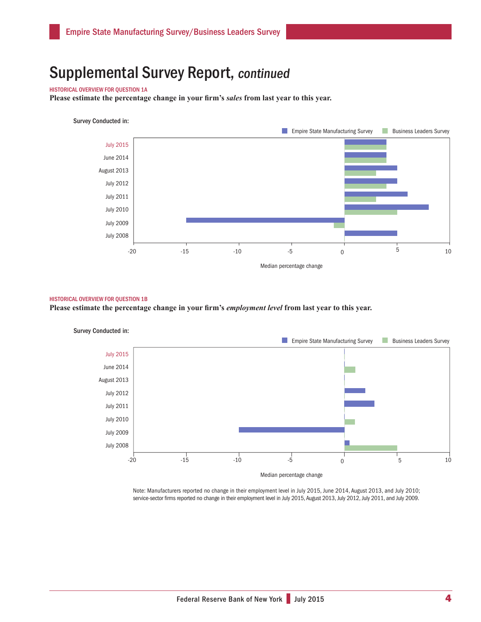#### HISTORICAL OVERVIEW FOR QUESTION 1A

**Please estimate the percentage change in your firm's** *sales* **from last year to this year.**

#### Survey Conducted in:



#### HISTORICAL OVERVIEW FOR QUESTION 1B

**Please estimate the percentage change in your firm's** *employment level* **from last year to this year.** 



Note: Manufacturers reported no change in their employment level in July 2015, June 2014, August 2013, and July 2010; service-sector firms reported no change in their employment level in July 2015, August 2013, July 2012, July 2011, and July 2009.